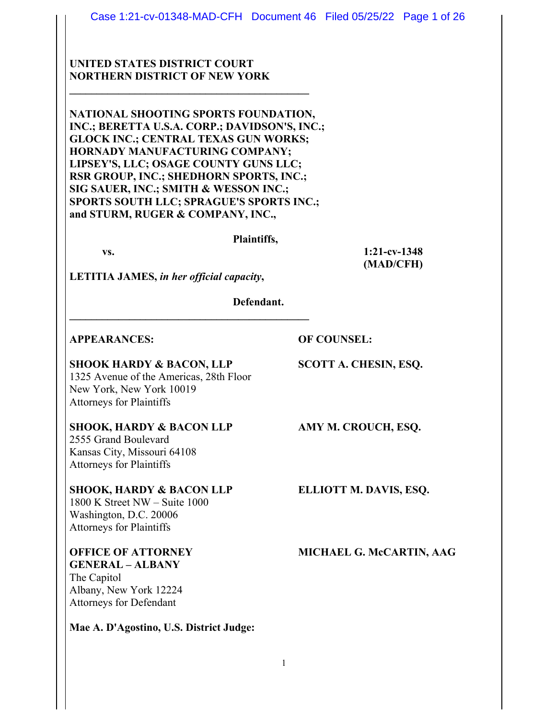# **UNITED STATES DISTRICT COURT NORTHERN DISTRICT OF NEW YORK**

**NATIONAL SHOOTING SPORTS FOUNDATION, INC.; BERETTA U.S.A. CORP.; DAVIDSON'S, INC.; GLOCK INC.; CENTRAL TEXAS GUN WORKS; HORNADY MANUFACTURING COMPANY; LIPSEY'S, LLC; OSAGE COUNTY GUNS LLC; RSR GROUP, INC.; SHEDHORN SPORTS, INC.; SIG SAUER, INC.; SMITH & WESSON INC.; SPORTS SOUTH LLC; SPRAGUE'S SPORTS INC.; and STURM, RUGER & COMPANY, INC.,** 

 $\mathcal{L} = \{ \mathcal{L} \}$ 

#### **Plaintiffs,**

 **vs. 1:21-cv-1348 (MAD/CFH)** 

**LETITIA JAMES,** *in her official capacity***,** 

**\_\_\_\_\_\_\_\_\_\_\_\_\_\_\_\_\_\_\_\_\_\_\_\_\_\_\_\_\_\_\_\_\_\_\_\_\_\_\_\_\_\_\_\_**

 **Defendant.** 

### **APPEARANCES: OF COUNSEL:**

### **SHOOK HARDY & BACON, LLP SCOTT A. CHESIN, ESQ.**

1325 Avenue of the Americas, 28th Floor New York, New York 10019 Attorneys for Plaintiffs

### **SHOOK, HARDY & BACON LLP AMY M. CROUCH, ESQ.**

2555 Grand Boulevard Kansas City, Missouri 64108 Attorneys for Plaintiffs

# **SHOOK, HARDY & BACON LLP ELLIOTT M. DAVIS, ESQ.**

1800 K Street NW – Suite 1000 Washington, D.C. 20006 Attorneys for Plaintiffs

# **GENERAL – ALBANY**  The Capitol Albany, New York 12224 Attorneys for Defendant

**Mae A. D'Agostino, U.S. District Judge:**

**OFFICE OF ATTORNEY MICHAEL G. McCARTIN, AAG**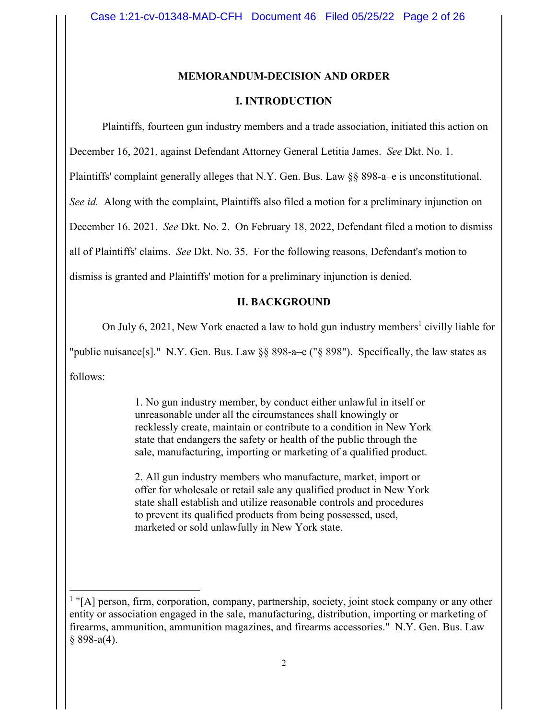#### **MEMORANDUM-DECISION AND ORDER**

#### **I. INTRODUCTION**

Plaintiffs, fourteen gun industry members and a trade association, initiated this action on

December 16, 2021, against Defendant Attorney General Letitia James. *See* Dkt. No. 1.

Plaintiffs' complaint generally alleges that N.Y. Gen. Bus. Law §§ 898-a–e is unconstitutional.

*See id.* Along with the complaint, Plaintiffs also filed a motion for a preliminary injunction on

December 16. 2021. *See* Dkt. No. 2. On February 18, 2022, Defendant filed a motion to dismiss

all of Plaintiffs' claims. *See* Dkt. No. 35. For the following reasons, Defendant's motion to

dismiss is granted and Plaintiffs' motion for a preliminary injunction is denied.

#### **II. BACKGROUND**

On July 6, 2021, New York enacted a law to hold gun industry members<sup>1</sup> civilly liable for

"public nuisance[s]." N.Y. Gen. Bus. Law §§ 898-a–e ("§ 898"). Specifically, the law states as

follows:

1. No gun industry member, by conduct either unlawful in itself or unreasonable under all the circumstances shall knowingly or recklessly create, maintain or contribute to a condition in New York state that endangers the safety or health of the public through the sale, manufacturing, importing or marketing of a qualified product.

2. All gun industry members who manufacture, market, import or offer for wholesale or retail sale any qualified product in New York state shall establish and utilize reasonable controls and procedures to prevent its qualified products from being possessed, used, marketed or sold unlawfully in New York state.

<sup>&</sup>lt;sup>1</sup> "[A] person, firm, corporation, company, partnership, society, joint stock company or any other entity or association engaged in the sale, manufacturing, distribution, importing or marketing of firearms, ammunition, ammunition magazines, and firearms accessories." N.Y. Gen. Bus. Law  $§$  898-a(4).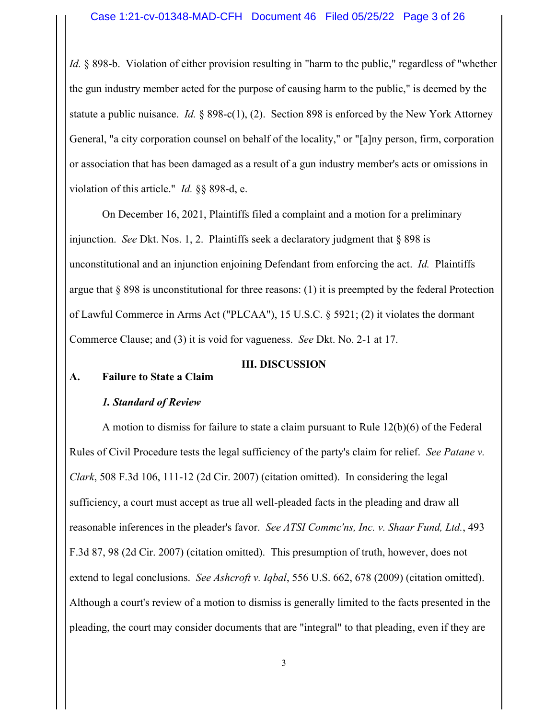*Id.* § 898-b. Violation of either provision resulting in "harm to the public," regardless of "whether the gun industry member acted for the purpose of causing harm to the public," is deemed by the statute a public nuisance. *Id.* § 898-c(1), (2). Section 898 is enforced by the New York Attorney General, "a city corporation counsel on behalf of the locality," or "[a]ny person, firm, corporation or association that has been damaged as a result of a gun industry member's acts or omissions in violation of this article." *Id.* §§ 898-d, e.

On December 16, 2021, Plaintiffs filed a complaint and a motion for a preliminary injunction. *See* Dkt. Nos. 1, 2. Plaintiffs seek a declaratory judgment that § 898 is unconstitutional and an injunction enjoining Defendant from enforcing the act. *Id.* Plaintiffs argue that  $\S 898$  is unconstitutional for three reasons: (1) it is preempted by the federal Protection of Lawful Commerce in Arms Act ("PLCAA"), 15 U.S.C. § 5921; (2) it violates the dormant Commerce Clause; and (3) it is void for vagueness. *See* Dkt. No. 2-1 at 17.

### **III. DISCUSSION**

# **A. Failure to State a Claim**

# *1. Standard of Review*

 A motion to dismiss for failure to state a claim pursuant to Rule 12(b)(6) of the Federal Rules of Civil Procedure tests the legal sufficiency of the party's claim for relief. *See Patane v. Clark*, 508 F.3d 106, 111-12 (2d Cir. 2007) (citation omitted). In considering the legal sufficiency, a court must accept as true all well-pleaded facts in the pleading and draw all reasonable inferences in the pleader's favor. *See ATSI Commc'ns, Inc. v. Shaar Fund, Ltd.*, 493 F.3d 87, 98 (2d Cir. 2007) (citation omitted). This presumption of truth, however, does not extend to legal conclusions. *See Ashcroft v. Iqbal*, 556 U.S. 662, 678 (2009) (citation omitted). Although a court's review of a motion to dismiss is generally limited to the facts presented in the pleading, the court may consider documents that are "integral" to that pleading, even if they are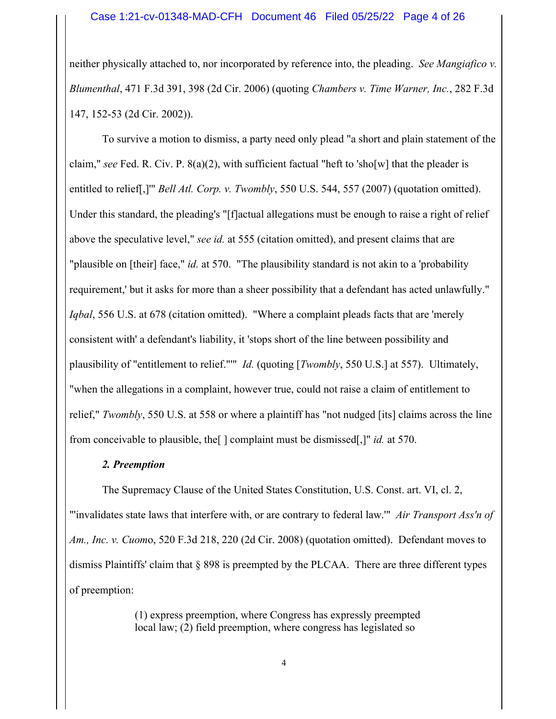neither physically attached to, nor incorporated by reference into, the pleading. *See Mangiafico v. Blumenthal*, 471 F.3d 391, 398 (2d Cir. 2006) (quoting *Chambers v. Time Warner, Inc.*, 282 F.3d 147, 152-53 (2d Cir. 2002)).

 To survive a motion to dismiss, a party need only plead "a short and plain statement of the claim," *see* Fed. R. Civ. P. 8(a)(2), with sufficient factual "heft to 'sho[w] that the pleader is entitled to relief[,]'" *Bell Atl. Corp. v. Twombly*, 550 U.S. 544, 557 (2007) (quotation omitted). Under this standard, the pleading's "[f]actual allegations must be enough to raise a right of relief above the speculative level," *see id.* at 555 (citation omitted), and present claims that are "plausible on [their] face," *id.* at 570. "The plausibility standard is not akin to a 'probability requirement,' but it asks for more than a sheer possibility that a defendant has acted unlawfully." *Iqbal*, 556 U.S. at 678 (citation omitted). "Where a complaint pleads facts that are 'merely consistent with' a defendant's liability, it 'stops short of the line between possibility and plausibility of "entitlement to relief."'" *Id.* (quoting [*Twombly*, 550 U.S.] at 557). Ultimately, "when the allegations in a complaint, however true, could not raise a claim of entitlement to relief," *Twombly*, 550 U.S. at 558 or where a plaintiff has "not nudged [its] claims across the line from conceivable to plausible, the[ ] complaint must be dismissed[,]" *id.* at 570.

# *2. Preemption*

 The Supremacy Clause of the United States Constitution, U.S. Const. art. VI, cl. 2, "'invalidates state laws that interfere with, or are contrary to federal law.'" *Air Transport Ass'n of Am., Inc. v. Cuom*o, 520 F.3d 218, 220 (2d Cir. 2008) (quotation omitted). Defendant moves to dismiss Plaintiffs' claim that § 898 is preempted by the PLCAA. There are three different types of preemption:

> (1) express preemption, where Congress has expressly preempted local law; (2) field preemption, where congress has legislated so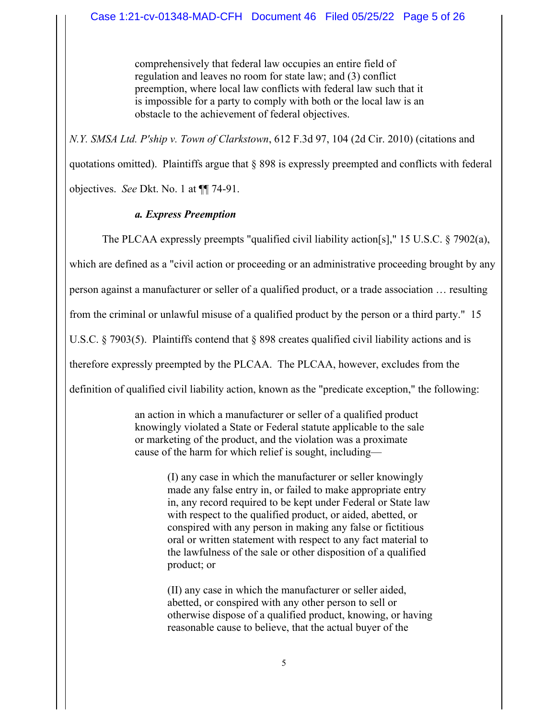comprehensively that federal law occupies an entire field of regulation and leaves no room for state law; and (3) conflict preemption, where local law conflicts with federal law such that it is impossible for a party to comply with both or the local law is an obstacle to the achievement of federal objectives.

*N.Y. SMSA Ltd. P'ship v. Town of Clarkstown*, 612 F.3d 97, 104 (2d Cir. 2010) (citations and

quotations omitted). Plaintiffs argue that § 898 is expressly preempted and conflicts with federal objectives. *See* Dkt. No. 1 at ¶¶ 74-91.

# *a. Express Preemption*

The PLCAA expressly preempts "qualified civil liability action[s]," 15 U.S.C. § 7902(a),

which are defined as a "civil action or proceeding or an administrative proceeding brought by any

person against a manufacturer or seller of a qualified product, or a trade association … resulting

from the criminal or unlawful misuse of a qualified product by the person or a third party." 15

U.S.C. § 7903(5). Plaintiffs contend that § 898 creates qualified civil liability actions and is

therefore expressly preempted by the PLCAA. The PLCAA, however, excludes from the

definition of qualified civil liability action, known as the "predicate exception," the following:

an action in which a manufacturer or seller of a qualified product knowingly violated a State or Federal statute applicable to the sale or marketing of the product, and the violation was a proximate cause of the harm for which relief is sought, including—

> (I) any case in which the manufacturer or seller knowingly made any false entry in, or failed to make appropriate entry in, any record required to be kept under Federal or State law with respect to the qualified product, or aided, abetted, or conspired with any person in making any false or fictitious oral or written statement with respect to any fact material to the lawfulness of the sale or other disposition of a qualified product; or

(II) any case in which the manufacturer or seller aided, abetted, or conspired with any other person to sell or otherwise dispose of a qualified product, knowing, or having reasonable cause to believe, that the actual buyer of the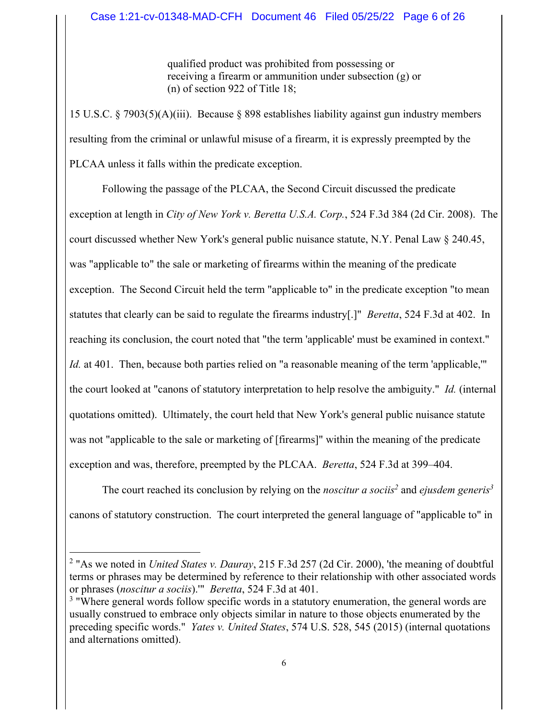qualified product was prohibited from possessing or receiving a firearm or ammunition under subsection (g) or (n) of section 922 of Title 18;

15 U.S.C. § 7903(5)(A)(iii). Because § 898 establishes liability against gun industry members resulting from the criminal or unlawful misuse of a firearm, it is expressly preempted by the PLCAA unless it falls within the predicate exception.

 Following the passage of the PLCAA, the Second Circuit discussed the predicate exception at length in *City of New York v. Beretta U.S.A. Corp.*, 524 F.3d 384 (2d Cir. 2008). The court discussed whether New York's general public nuisance statute, N.Y. Penal Law § 240.45, was "applicable to" the sale or marketing of firearms within the meaning of the predicate exception. The Second Circuit held the term "applicable to" in the predicate exception "to mean statutes that clearly can be said to regulate the firearms industry[.]" *Beretta*, 524 F.3d at 402. In reaching its conclusion, the court noted that "the term 'applicable' must be examined in context." *Id.* at 401. Then, because both parties relied on "a reasonable meaning of the term 'applicable,'" the court looked at "canons of statutory interpretation to help resolve the ambiguity." *Id.* (internal quotations omitted). Ultimately, the court held that New York's general public nuisance statute was not "applicable to the sale or marketing of [firearms]" within the meaning of the predicate exception and was, therefore, preempted by the PLCAA. *Beretta*, 524 F.3d at 399–404.

The court reached its conclusion by relying on the *noscitur a sociis*<sup>2</sup> and *ejusdem generis*<sup>3</sup> canons of statutory construction. The court interpreted the general language of "applicable to" in

<sup>2</sup> "As we noted in *United States v. Dauray*, 215 F.3d 257 (2d Cir. 2000), 'the meaning of doubtful terms or phrases may be determined by reference to their relationship with other associated words or phrases (*noscitur a sociis*).'" *Beretta*, 524 F.3d at 401.

 $3$  "Where general words follow specific words in a statutory enumeration, the general words are usually construed to embrace only objects similar in nature to those objects enumerated by the preceding specific words." *Yates v. United States*, 574 U.S. 528, 545 (2015) (internal quotations and alternations omitted).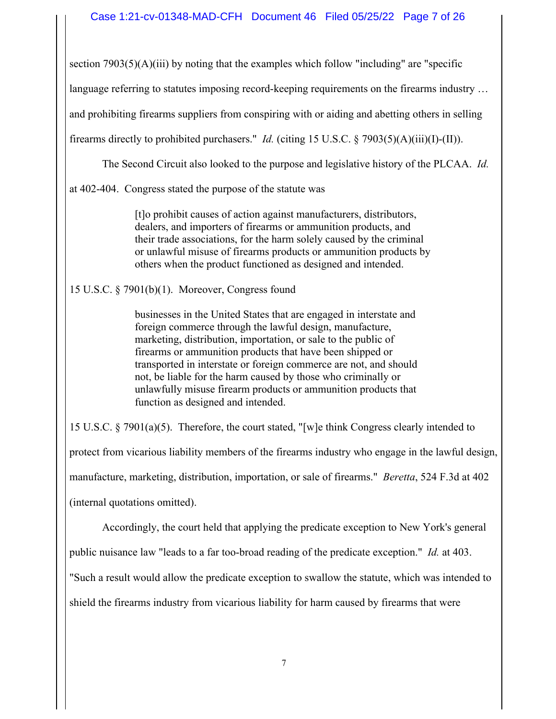section  $7903(5)(A)(iii)$  by noting that the examples which follow "including" are "specific

language referring to statutes imposing record-keeping requirements on the firearms industry …

and prohibiting firearms suppliers from conspiring with or aiding and abetting others in selling

firearms directly to prohibited purchasers." *Id.* (citing 15 U.S.C. § 7903(5)(A)(iii)(I)-(II)).

The Second Circuit also looked to the purpose and legislative history of the PLCAA. *Id.*

at 402-404. Congress stated the purpose of the statute was

[t]o prohibit causes of action against manufacturers, distributors, dealers, and importers of firearms or ammunition products, and their trade associations, for the harm solely caused by the criminal or unlawful misuse of firearms products or ammunition products by others when the product functioned as designed and intended.

15 U.S.C. § 7901(b)(1). Moreover, Congress found

businesses in the United States that are engaged in interstate and foreign commerce through the lawful design, manufacture, marketing, distribution, importation, or sale to the public of firearms or ammunition products that have been shipped or transported in interstate or foreign commerce are not, and should not, be liable for the harm caused by those who criminally or unlawfully misuse firearm products or ammunition products that function as designed and intended.

15 U.S.C. § 7901(a)(5). Therefore, the court stated, "[w]e think Congress clearly intended to protect from vicarious liability members of the firearms industry who engage in the lawful design, manufacture, marketing, distribution, importation, or sale of firearms." *Beretta*, 524 F.3d at 402 (internal quotations omitted).

Accordingly, the court held that applying the predicate exception to New York's general

public nuisance law "leads to a far too-broad reading of the predicate exception." *Id.* at 403.

"Such a result would allow the predicate exception to swallow the statute, which was intended to

shield the firearms industry from vicarious liability for harm caused by firearms that were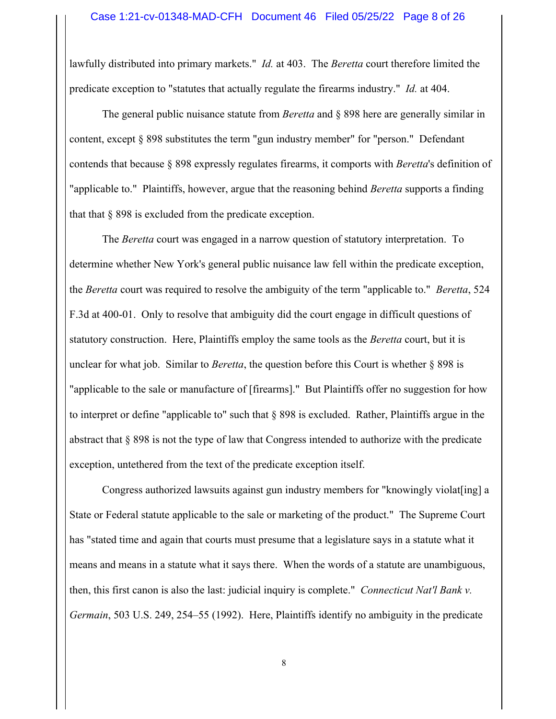lawfully distributed into primary markets." *Id.* at 403. The *Beretta* court therefore limited the predicate exception to "statutes that actually regulate the firearms industry." *Id.* at 404.

 The general public nuisance statute from *Beretta* and § 898 here are generally similar in content, except § 898 substitutes the term "gun industry member" for "person." Defendant contends that because § 898 expressly regulates firearms, it comports with *Beretta*'s definition of "applicable to." Plaintiffs, however, argue that the reasoning behind *Beretta* supports a finding that that § 898 is excluded from the predicate exception.

 The *Beretta* court was engaged in a narrow question of statutory interpretation. To determine whether New York's general public nuisance law fell within the predicate exception, the *Beretta* court was required to resolve the ambiguity of the term "applicable to." *Beretta*, 524 F.3d at 400-01. Only to resolve that ambiguity did the court engage in difficult questions of statutory construction. Here, Plaintiffs employ the same tools as the *Beretta* court, but it is unclear for what job. Similar to *Beretta*, the question before this Court is whether § 898 is "applicable to the sale or manufacture of [firearms]." But Plaintiffs offer no suggestion for how to interpret or define "applicable to" such that  $\S$  898 is excluded. Rather, Plaintiffs argue in the abstract that § 898 is not the type of law that Congress intended to authorize with the predicate exception, untethered from the text of the predicate exception itself.

 Congress authorized lawsuits against gun industry members for "knowingly violat[ing] a State or Federal statute applicable to the sale or marketing of the product." The Supreme Court has "stated time and again that courts must presume that a legislature says in a statute what it means and means in a statute what it says there. When the words of a statute are unambiguous, then, this first canon is also the last: judicial inquiry is complete." *Connecticut Nat'l Bank v. Germain*, 503 U.S. 249, 254–55 (1992). Here, Plaintiffs identify no ambiguity in the predicate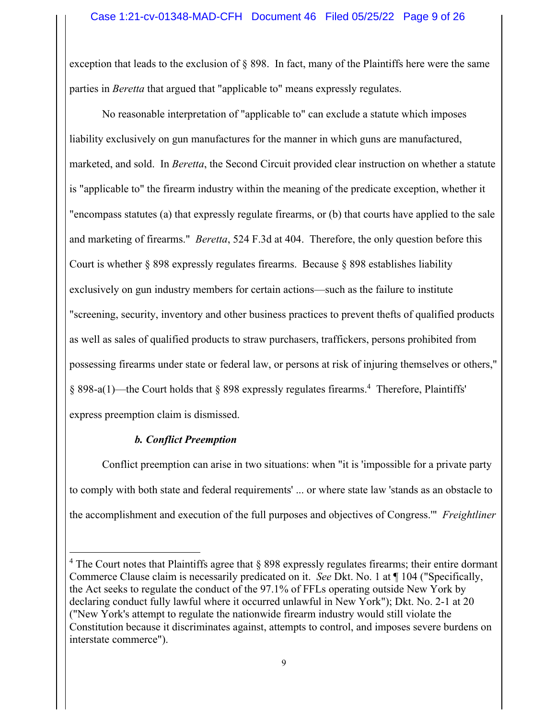exception that leads to the exclusion of § 898. In fact, many of the Plaintiffs here were the same parties in *Beretta* that argued that "applicable to" means expressly regulates.

 No reasonable interpretation of "applicable to" can exclude a statute which imposes liability exclusively on gun manufactures for the manner in which guns are manufactured, marketed, and sold. In *Beretta*, the Second Circuit provided clear instruction on whether a statute is "applicable to" the firearm industry within the meaning of the predicate exception, whether it "encompass statutes (a) that expressly regulate firearms, or (b) that courts have applied to the sale and marketing of firearms." *Beretta*, 524 F.3d at 404. Therefore, the only question before this Court is whether § 898 expressly regulates firearms. Because § 898 establishes liability exclusively on gun industry members for certain actions—such as the failure to institute "screening, security, inventory and other business practices to prevent thefts of qualified products as well as sales of qualified products to straw purchasers, traffickers, persons prohibited from possessing firearms under state or federal law, or persons at risk of injuring themselves or others,"  $\S 898-a(1)$ —the Court holds that  $\S 898$  expressly regulates firearms.<sup>4</sup> Therefore, Plaintiffs' express preemption claim is dismissed.

# *b. Conflict Preemption*

 Conflict preemption can arise in two situations: when "it is 'impossible for a private party to comply with both state and federal requirements' ... or where state law 'stands as an obstacle to the accomplishment and execution of the full purposes and objectives of Congress.'" *Freightliner* 

 $4$  The Court notes that Plaintiffs agree that § 898 expressly regulates firearms; their entire dormant Commerce Clause claim is necessarily predicated on it. *See* Dkt. No. 1 at ¶ 104 ("Specifically, the Act seeks to regulate the conduct of the 97.1% of FFLs operating outside New York by declaring conduct fully lawful where it occurred unlawful in New York"); Dkt. No. 2-1 at 20 ("New York's attempt to regulate the nationwide firearm industry would still violate the Constitution because it discriminates against, attempts to control, and imposes severe burdens on interstate commerce").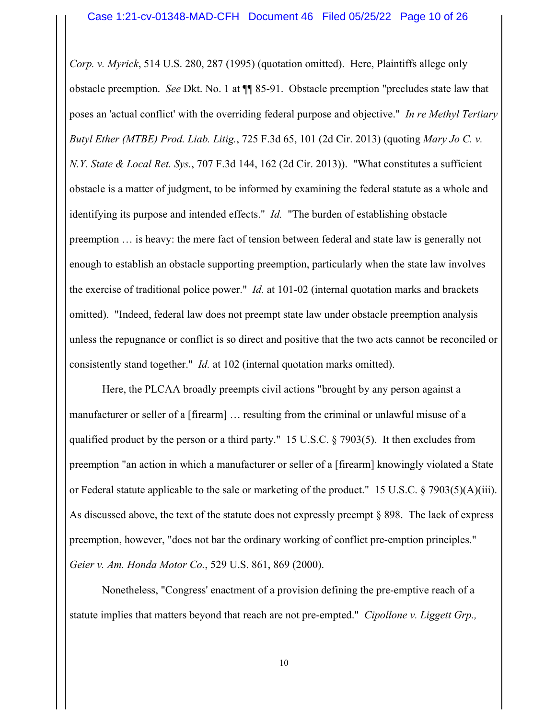*Corp. v. Myrick*, 514 U.S. 280, 287 (1995) (quotation omitted). Here, Plaintiffs allege only obstacle preemption. *See* Dkt. No. 1 at ¶¶ 85-91. Obstacle preemption "precludes state law that poses an 'actual conflict' with the overriding federal purpose and objective." *In re Methyl Tertiary Butyl Ether (MTBE) Prod. Liab. Litig.*, 725 F.3d 65, 101 (2d Cir. 2013) (quoting *Mary Jo C. v. N.Y. State & Local Ret. Sys.*, 707 F.3d 144, 162 (2d Cir. 2013)). "What constitutes a sufficient obstacle is a matter of judgment, to be informed by examining the federal statute as a whole and identifying its purpose and intended effects." *Id.* "The burden of establishing obstacle preemption … is heavy: the mere fact of tension between federal and state law is generally not enough to establish an obstacle supporting preemption, particularly when the state law involves the exercise of traditional police power." *Id.* at 101-02 (internal quotation marks and brackets omitted). "Indeed, federal law does not preempt state law under obstacle preemption analysis unless the repugnance or conflict is so direct and positive that the two acts cannot be reconciled or consistently stand together." *Id.* at 102 (internal quotation marks omitted).

 Here, the PLCAA broadly preempts civil actions "brought by any person against a manufacturer or seller of a [firearm] … resulting from the criminal or unlawful misuse of a qualified product by the person or a third party." 15 U.S.C. § 7903(5). It then excludes from preemption "an action in which a manufacturer or seller of a [firearm] knowingly violated a State or Federal statute applicable to the sale or marketing of the product." 15 U.S.C. § 7903(5)(A)(iii). As discussed above, the text of the statute does not expressly preempt § 898. The lack of express preemption, however, "does not bar the ordinary working of conflict pre-emption principles." *Geier v. Am. Honda Motor Co.*, 529 U.S. 861, 869 (2000).

 Nonetheless, "Congress' enactment of a provision defining the pre-emptive reach of a statute implies that matters beyond that reach are not pre-empted." *Cipollone v. Liggett Grp.,*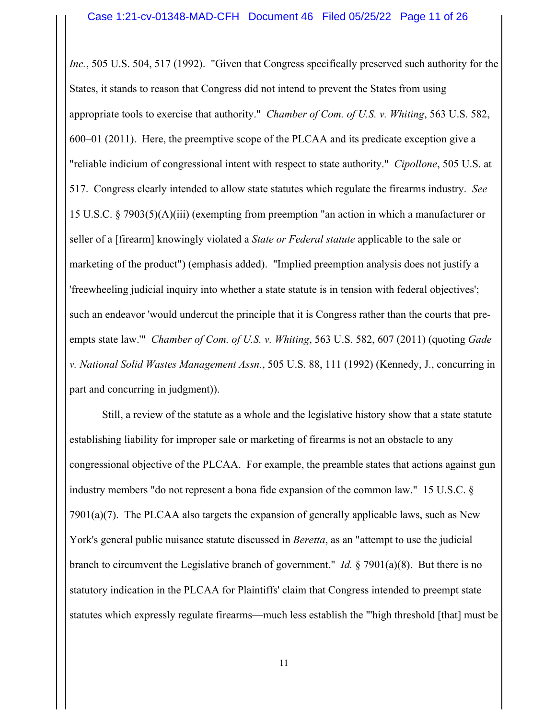*Inc.*, 505 U.S. 504, 517 (1992). "Given that Congress specifically preserved such authority for the States, it stands to reason that Congress did not intend to prevent the States from using appropriate tools to exercise that authority." *Chamber of Com. of U.S. v. Whiting*, 563 U.S. 582, 600–01 (2011). Here, the preemptive scope of the PLCAA and its predicate exception give a "reliable indicium of congressional intent with respect to state authority." *Cipollone*, 505 U.S. at 517. Congress clearly intended to allow state statutes which regulate the firearms industry. *See* 15 U.S.C. § 7903(5)(A)(iii) (exempting from preemption "an action in which a manufacturer or seller of a [firearm] knowingly violated a *State or Federal statute* applicable to the sale or marketing of the product") (emphasis added). "Implied preemption analysis does not justify a 'freewheeling judicial inquiry into whether a state statute is in tension with federal objectives'; such an endeavor 'would undercut the principle that it is Congress rather than the courts that preempts state law.'" *Chamber of Com. of U.S. v. Whiting*, 563 U.S. 582, 607 (2011) (quoting *Gade v. National Solid Wastes Management Assn.*, 505 U.S. 88, 111 (1992) (Kennedy, J., concurring in part and concurring in judgment)).

 Still, a review of the statute as a whole and the legislative history show that a state statute establishing liability for improper sale or marketing of firearms is not an obstacle to any congressional objective of the PLCAA. For example, the preamble states that actions against gun industry members "do not represent a bona fide expansion of the common law." 15 U.S.C. § 7901(a)(7). The PLCAA also targets the expansion of generally applicable laws, such as New York's general public nuisance statute discussed in *Beretta*, as an "attempt to use the judicial branch to circumvent the Legislative branch of government." *Id.* § 7901(a)(8). But there is no statutory indication in the PLCAA for Plaintiffs' claim that Congress intended to preempt state statutes which expressly regulate firearms—much less establish the "'high threshold [that] must be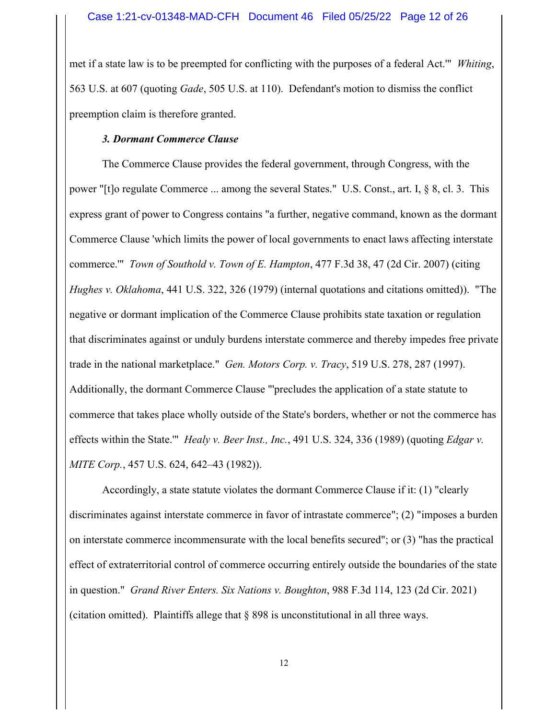met if a state law is to be preempted for conflicting with the purposes of a federal Act.'" *Whiting*, 563 U.S. at 607 (quoting *Gade*, 505 U.S. at 110). Defendant's motion to dismiss the conflict preemption claim is therefore granted.

# *3. Dormant Commerce Clause*

 The Commerce Clause provides the federal government, through Congress, with the power "[t]o regulate Commerce ... among the several States." U.S. Const., art. I, § 8, cl. 3. This express grant of power to Congress contains "a further, negative command, known as the dormant Commerce Clause 'which limits the power of local governments to enact laws affecting interstate commerce.'" *Town of Southold v. Town of E. Hampton*, 477 F.3d 38, 47 (2d Cir. 2007) (citing *Hughes v. Oklahoma*, 441 U.S. 322, 326 (1979) (internal quotations and citations omitted)). "The negative or dormant implication of the Commerce Clause prohibits state taxation or regulation that discriminates against or unduly burdens interstate commerce and thereby impedes free private trade in the national marketplace." *Gen. Motors Corp. v. Tracy*, 519 U.S. 278, 287 (1997). Additionally, the dormant Commerce Clause "'precludes the application of a state statute to commerce that takes place wholly outside of the State's borders, whether or not the commerce has effects within the State.'" *Healy v. Beer Inst., Inc.*, 491 U.S. 324, 336 (1989) (quoting *Edgar v. MITE Corp.*, 457 U.S. 624, 642–43 (1982)).

 Accordingly, a state statute violates the dormant Commerce Clause if it: (1) "clearly discriminates against interstate commerce in favor of intrastate commerce"; (2) "imposes a burden on interstate commerce incommensurate with the local benefits secured"; or (3) "has the practical effect of extraterritorial control of commerce occurring entirely outside the boundaries of the state in question." *Grand River Enters. Six Nations v. Boughton*, 988 F.3d 114, 123 (2d Cir. 2021) (citation omitted). Plaintiffs allege that  $\S$  898 is unconstitutional in all three ways.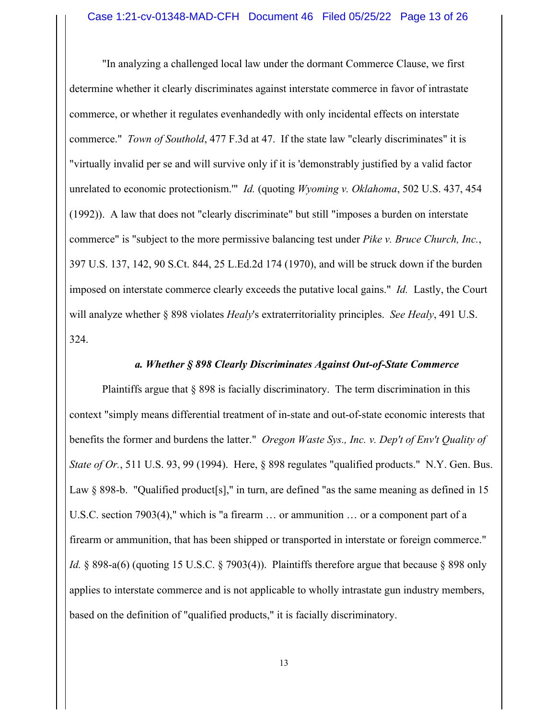"In analyzing a challenged local law under the dormant Commerce Clause, we first determine whether it clearly discriminates against interstate commerce in favor of intrastate commerce, or whether it regulates evenhandedly with only incidental effects on interstate commerce." *Town of Southold*, 477 F.3d at 47. If the state law "clearly discriminates" it is "virtually invalid per se and will survive only if it is 'demonstrably justified by a valid factor unrelated to economic protectionism.'" *Id.* (quoting *Wyoming v. Oklahoma*, 502 U.S. 437, 454 (1992)). A law that does not "clearly discriminate" but still "imposes a burden on interstate commerce" is "subject to the more permissive balancing test under *Pike v. Bruce Church, Inc.*, 397 U.S. 137, 142, 90 S.Ct. 844, 25 L.Ed.2d 174 (1970), and will be struck down if the burden imposed on interstate commerce clearly exceeds the putative local gains." *Id.* Lastly, the Court will analyze whether § 898 violates *Healy*'s extraterritoriality principles. *See Healy*, 491 U.S. 324.

### *a. Whether § 898 Clearly Discriminates Against Out-of-State Commerce*

 Plaintiffs argue that § 898 is facially discriminatory. The term discrimination in this context "simply means differential treatment of in-state and out-of-state economic interests that benefits the former and burdens the latter." *Oregon Waste Sys., Inc. v. Dep't of Env't Quality of State of Or.*, 511 U.S. 93, 99 (1994). Here, § 898 regulates "qualified products." N.Y. Gen. Bus. Law § 898-b. "Qualified product[s]," in turn, are defined "as the same meaning as defined in 15 U.S.C. section 7903(4)," which is "a firearm … or ammunition … or a component part of a firearm or ammunition, that has been shipped or transported in interstate or foreign commerce." *Id.* § 898-a(6) (quoting 15 U.S.C. § 7903(4)). Plaintiffs therefore argue that because § 898 only applies to interstate commerce and is not applicable to wholly intrastate gun industry members, based on the definition of "qualified products," it is facially discriminatory.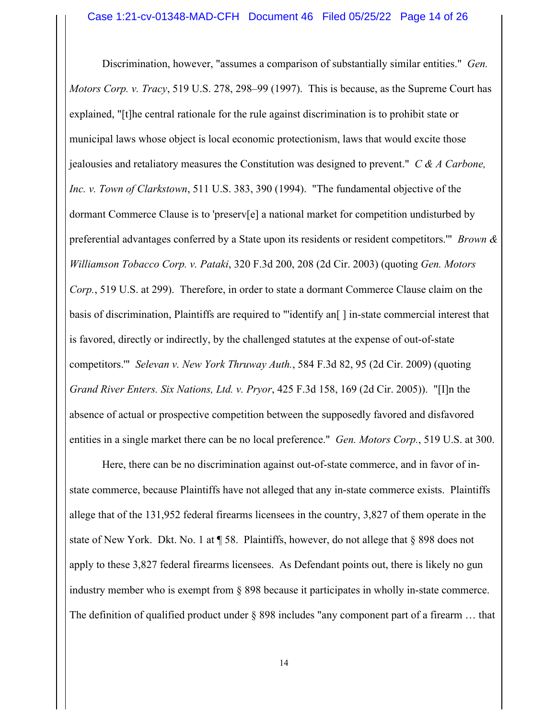Discrimination, however, "assumes a comparison of substantially similar entities." *Gen. Motors Corp. v. Tracy*, 519 U.S. 278, 298–99 (1997). This is because, as the Supreme Court has explained, "[t]he central rationale for the rule against discrimination is to prohibit state or municipal laws whose object is local economic protectionism, laws that would excite those jealousies and retaliatory measures the Constitution was designed to prevent." *C & A Carbone, Inc. v. Town of Clarkstown*, 511 U.S. 383, 390 (1994). "The fundamental objective of the dormant Commerce Clause is to 'preserv[e] a national market for competition undisturbed by preferential advantages conferred by a State upon its residents or resident competitors.'" *Brown & Williamson Tobacco Corp. v. Pataki*, 320 F.3d 200, 208 (2d Cir. 2003) (quoting *Gen. Motors Corp.*, 519 U.S. at 299). Therefore, in order to state a dormant Commerce Clause claim on the basis of discrimination, Plaintiffs are required to "'identify an<a>[] in-state commercial interest that is favored, directly or indirectly, by the challenged statutes at the expense of out-of-state competitors.'" *Selevan v. New York Thruway Auth.*, 584 F.3d 82, 95 (2d Cir. 2009) (quoting *Grand River Enters. Six Nations, Ltd. v. Pryor*, 425 F.3d 158, 169 (2d Cir. 2005)). "[I]n the absence of actual or prospective competition between the supposedly favored and disfavored entities in a single market there can be no local preference." *Gen. Motors Corp.*, 519 U.S. at 300.

 Here, there can be no discrimination against out-of-state commerce, and in favor of instate commerce, because Plaintiffs have not alleged that any in-state commerce exists. Plaintiffs allege that of the 131,952 federal firearms licensees in the country, 3,827 of them operate in the state of New York. Dkt. No. 1 at ¶ 58. Plaintiffs, however, do not allege that § 898 does not apply to these 3,827 federal firearms licensees. As Defendant points out, there is likely no gun industry member who is exempt from § 898 because it participates in wholly in-state commerce. The definition of qualified product under § 898 includes "any component part of a firearm ... that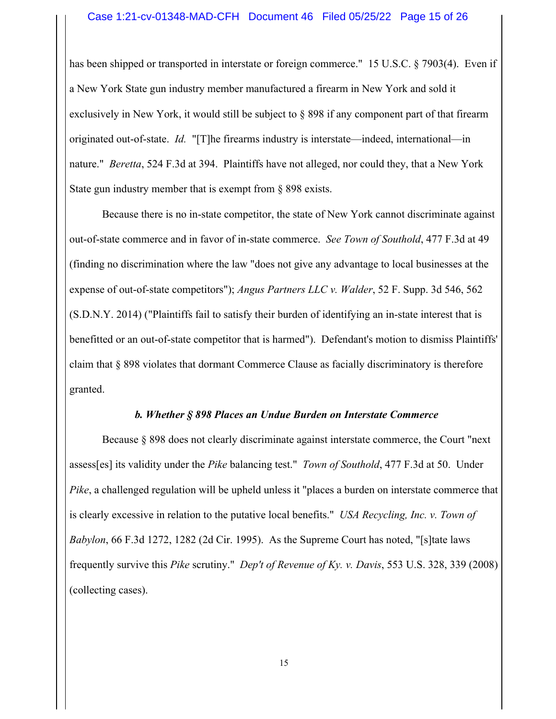#### Case 1:21-cv-01348-MAD-CFH Document 46 Filed 05/25/22 Page 15 of 26

has been shipped or transported in interstate or foreign commerce." 15 U.S.C. § 7903(4). Even if a New York State gun industry member manufactured a firearm in New York and sold it exclusively in New York, it would still be subject to § 898 if any component part of that firearm originated out-of-state. *Id.* "[T]he firearms industry is interstate—indeed, international—in nature." *Beretta*, 524 F.3d at 394. Plaintiffs have not alleged, nor could they, that a New York State gun industry member that is exempt from § 898 exists.

 Because there is no in-state competitor, the state of New York cannot discriminate against out-of-state commerce and in favor of in-state commerce. *See Town of Southold*, 477 F.3d at 49 (finding no discrimination where the law "does not give any advantage to local businesses at the expense of out-of-state competitors"); *Angus Partners LLC v. Walder*, 52 F. Supp. 3d 546, 562 (S.D.N.Y. 2014) ("Plaintiffs fail to satisfy their burden of identifying an in-state interest that is benefitted or an out-of-state competitor that is harmed"). Defendant's motion to dismiss Plaintiffs' claim that § 898 violates that dormant Commerce Clause as facially discriminatory is therefore granted.

### *b. Whether § 898 Places an Undue Burden on Interstate Commerce*

 Because § 898 does not clearly discriminate against interstate commerce, the Court "next assess[es] its validity under the *Pike* balancing test." *Town of Southold*, 477 F.3d at 50. Under *Pike*, a challenged regulation will be upheld unless it "places a burden on interstate commerce that is clearly excessive in relation to the putative local benefits." *USA Recycling, Inc. v. Town of Babylon*, 66 F.3d 1272, 1282 (2d Cir. 1995). As the Supreme Court has noted, "[s]tate laws frequently survive this *Pike* scrutiny." *Dep't of Revenue of Ky. v. Davis*, 553 U.S. 328, 339 (2008) (collecting cases).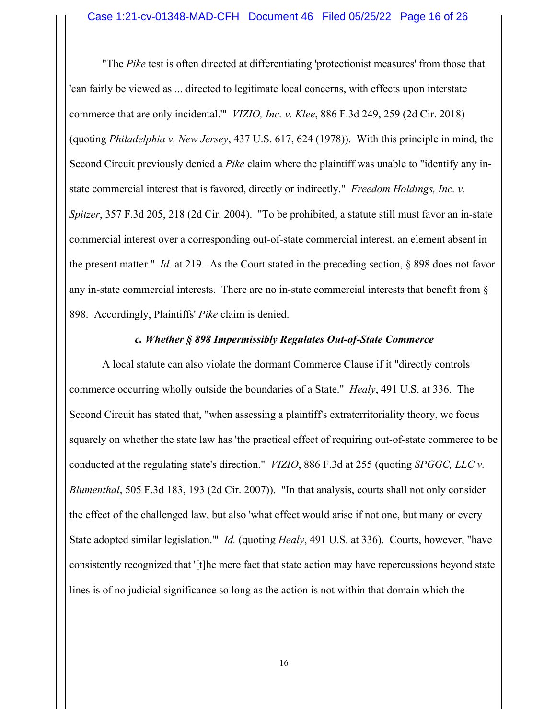"The *Pike* test is often directed at differentiating 'protectionist measures' from those that 'can fairly be viewed as ... directed to legitimate local concerns, with effects upon interstate commerce that are only incidental.'" *VIZIO, Inc. v. Klee*, 886 F.3d 249, 259 (2d Cir. 2018) (quoting *Philadelphia v. New Jersey*, 437 U.S. 617, 624 (1978)). With this principle in mind, the Second Circuit previously denied a *Pike* claim where the plaintiff was unable to "identify any instate commercial interest that is favored, directly or indirectly." *Freedom Holdings, Inc. v. Spitzer*, 357 F.3d 205, 218 (2d Cir. 2004). "To be prohibited, a statute still must favor an in-state commercial interest over a corresponding out-of-state commercial interest, an element absent in the present matter." *Id.* at 219. As the Court stated in the preceding section, § 898 does not favor any in-state commercial interests. There are no in-state commercial interests that benefit from § 898. Accordingly, Plaintiffs' *Pike* claim is denied.

#### *c. Whether § 898 Impermissibly Regulates Out-of-State Commerce*

 A local statute can also violate the dormant Commerce Clause if it "directly controls commerce occurring wholly outside the boundaries of a State." *Healy*, 491 U.S. at 336. The Second Circuit has stated that, "when assessing a plaintiff's extraterritoriality theory, we focus squarely on whether the state law has 'the practical effect of requiring out-of-state commerce to be conducted at the regulating state's direction." *VIZIO*, 886 F.3d at 255 (quoting *SPGGC, LLC v. Blumenthal*, 505 F.3d 183, 193 (2d Cir. 2007)). "In that analysis, courts shall not only consider the effect of the challenged law, but also 'what effect would arise if not one, but many or every State adopted similar legislation.'" *Id.* (quoting *Healy*, 491 U.S. at 336). Courts, however, "have consistently recognized that '[t]he mere fact that state action may have repercussions beyond state lines is of no judicial significance so long as the action is not within that domain which the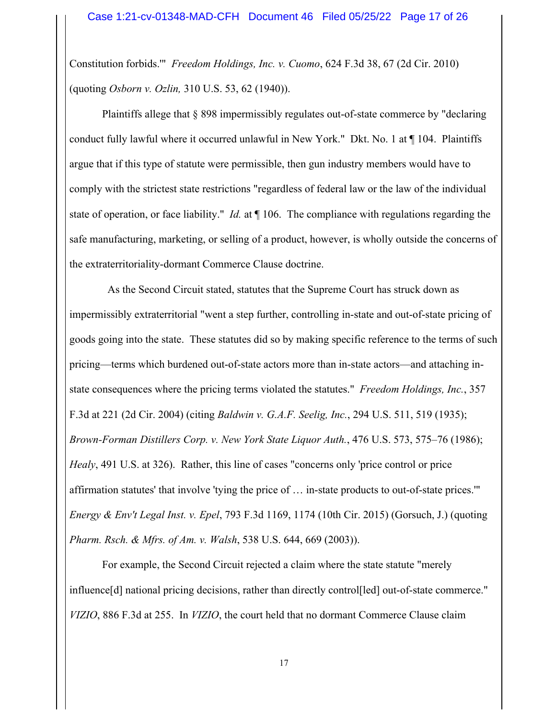Constitution forbids.'" *Freedom Holdings, Inc. v. Cuomo*, 624 F.3d 38, 67 (2d Cir. 2010) (quoting *Osborn v. Ozlin,* 310 U.S. 53, 62 (1940)).

Plaintiffs allege that § 898 impermissibly regulates out-of-state commerce by "declaring conduct fully lawful where it occurred unlawful in New York." Dkt. No. 1 at ¶ 104. Plaintiffs argue that if this type of statute were permissible, then gun industry members would have to comply with the strictest state restrictions "regardless of federal law or the law of the individual state of operation, or face liability." *Id.* at ¶ 106. The compliance with regulations regarding the safe manufacturing, marketing, or selling of a product, however, is wholly outside the concerns of the extraterritoriality-dormant Commerce Clause doctrine.

 As the Second Circuit stated, statutes that the Supreme Court has struck down as impermissibly extraterritorial "went a step further, controlling in-state and out-of-state pricing of goods going into the state. These statutes did so by making specific reference to the terms of such pricing—terms which burdened out-of-state actors more than in-state actors—and attaching instate consequences where the pricing terms violated the statutes." *Freedom Holdings, Inc.*, 357 F.3d at 221 (2d Cir. 2004) (citing *Baldwin v. G.A.F. Seelig, Inc.*, 294 U.S. 511, 519 (1935); *Brown-Forman Distillers Corp. v. New York State Liquor Auth.*, 476 U.S. 573, 575–76 (1986); *Healy*, 491 U.S. at 326). Rather, this line of cases "concerns only 'price control or price affirmation statutes' that involve 'tying the price of … in-state products to out-of-state prices.'" *Energy & Env't Legal Inst. v. Epel*, 793 F.3d 1169, 1174 (10th Cir. 2015) (Gorsuch, J.) (quoting *Pharm. Rsch. & Mfrs. of Am. v. Walsh*, 538 U.S. 644, 669 (2003)).

 For example, the Second Circuit rejected a claim where the state statute "merely influence[d] national pricing decisions, rather than directly control[led] out-of-state commerce." *VIZIO*, 886 F.3d at 255. In *VIZIO*, the court held that no dormant Commerce Clause claim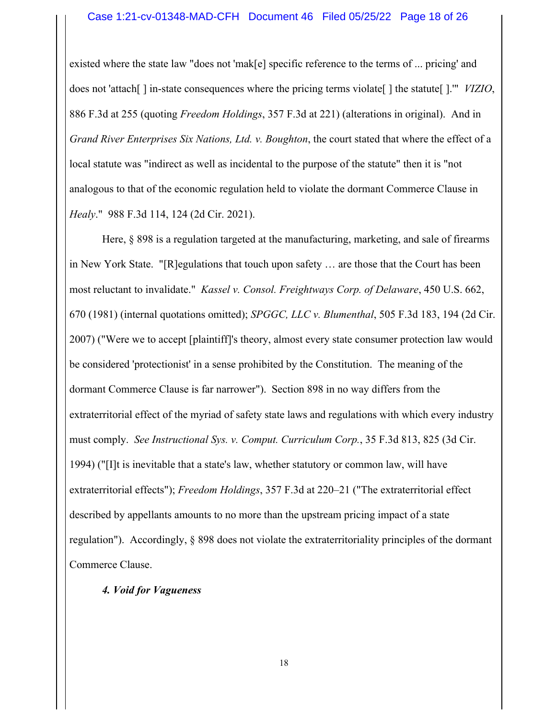#### Case 1:21-cv-01348-MAD-CFH Document 46 Filed 05/25/22 Page 18 of 26

existed where the state law "does not 'mak[e] specific reference to the terms of ... pricing' and does not 'attach[ ] in-state consequences where the pricing terms violate[ ] the statute[ ].'" *VIZIO*, 886 F.3d at 255 (quoting *Freedom Holdings*, 357 F.3d at 221) (alterations in original). And in *Grand River Enterprises Six Nations, Ltd. v. Boughton*, the court stated that where the effect of a local statute was "indirect as well as incidental to the purpose of the statute" then it is "not analogous to that of the economic regulation held to violate the dormant Commerce Clause in *Healy*." 988 F.3d 114, 124 (2d Cir. 2021).

 Here, § 898 is a regulation targeted at the manufacturing, marketing, and sale of firearms in New York State. "[R]egulations that touch upon safety … are those that the Court has been most reluctant to invalidate." *Kassel v. Consol. Freightways Corp. of Delaware*, 450 U.S. 662, 670 (1981) (internal quotations omitted); *SPGGC, LLC v. Blumenthal*, 505 F.3d 183, 194 (2d Cir. 2007) ("Were we to accept [plaintiff]'s theory, almost every state consumer protection law would be considered 'protectionist' in a sense prohibited by the Constitution. The meaning of the dormant Commerce Clause is far narrower"). Section 898 in no way differs from the extraterritorial effect of the myriad of safety state laws and regulations with which every industry must comply. *See Instructional Sys. v. Comput. Curriculum Corp.*, 35 F.3d 813, 825 (3d Cir. 1994) ("[I]t is inevitable that a state's law, whether statutory or common law, will have extraterritorial effects"); *Freedom Holdings*, 357 F.3d at 220–21 ("The extraterritorial effect described by appellants amounts to no more than the upstream pricing impact of a state regulation"). Accordingly, § 898 does not violate the extraterritoriality principles of the dormant Commerce Clause.

#### *4. Void for Vagueness*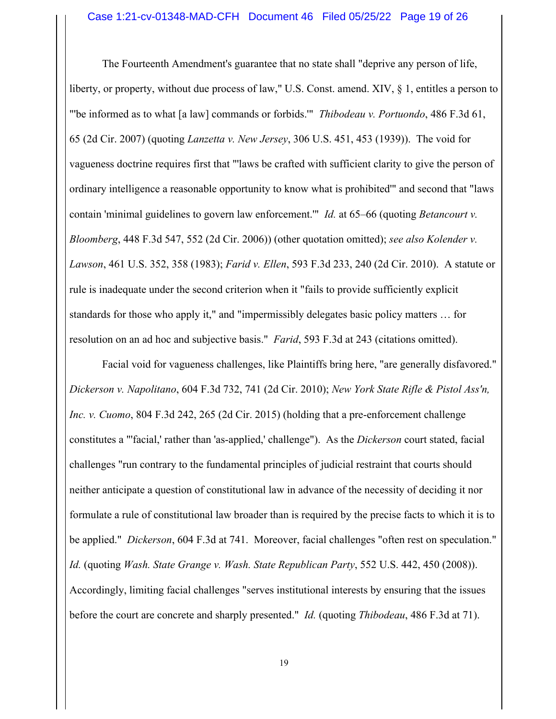The Fourteenth Amendment's guarantee that no state shall "deprive any person of life, liberty, or property, without due process of law," U.S. Const. amend. XIV, § 1, entitles a person to "'be informed as to what [a law] commands or forbids.'" *Thibodeau v. Portuondo*, 486 F.3d 61, 65 (2d Cir. 2007) (quoting *Lanzetta v. New Jersey*, 306 U.S. 451, 453 (1939)). The void for vagueness doctrine requires first that "'laws be crafted with sufficient clarity to give the person of ordinary intelligence a reasonable opportunity to know what is prohibited'" and second that "laws contain 'minimal guidelines to govern law enforcement.'" *Id.* at 65–66 (quoting *Betancourt v. Bloomberg*, 448 F.3d 547, 552 (2d Cir. 2006)) (other quotation omitted); *see also Kolender v. Lawson*, 461 U.S. 352, 358 (1983); *Farid v. Ellen*, 593 F.3d 233, 240 (2d Cir. 2010). A statute or rule is inadequate under the second criterion when it "fails to provide sufficiently explicit standards for those who apply it," and "impermissibly delegates basic policy matters … for resolution on an ad hoc and subjective basis." *Farid*, 593 F.3d at 243 (citations omitted).

 Facial void for vagueness challenges, like Plaintiffs bring here, "are generally disfavored." *Dickerson v. Napolitano*, 604 F.3d 732, 741 (2d Cir. 2010); *New York State Rifle & Pistol Ass'n, Inc. v. Cuomo*, 804 F.3d 242, 265 (2d Cir. 2015) (holding that a pre-enforcement challenge constitutes a "'facial,' rather than 'as-applied,' challenge"). As the *Dickerson* court stated, facial challenges "run contrary to the fundamental principles of judicial restraint that courts should neither anticipate a question of constitutional law in advance of the necessity of deciding it nor formulate a rule of constitutional law broader than is required by the precise facts to which it is to be applied." *Dickerson*, 604 F.3d at 741. Moreover, facial challenges "often rest on speculation." *Id.* (quoting *Wash. State Grange v. Wash. State Republican Party*, 552 U.S. 442, 450 (2008)). Accordingly, limiting facial challenges "serves institutional interests by ensuring that the issues before the court are concrete and sharply presented." *Id.* (quoting *Thibodeau*, 486 F.3d at 71).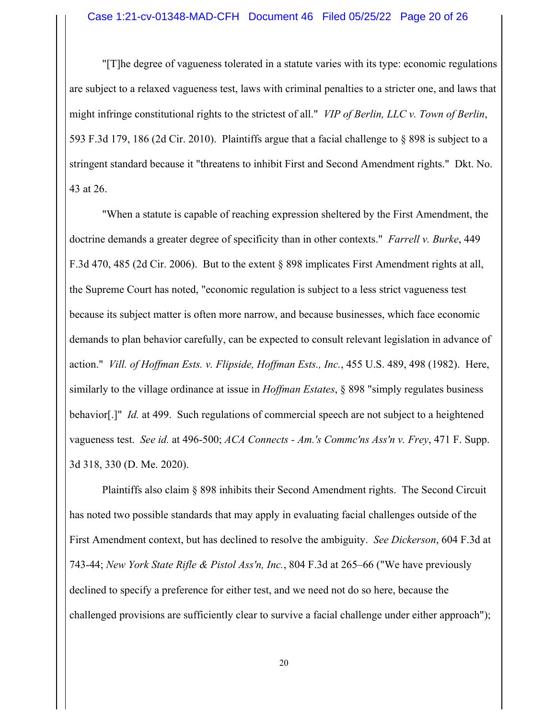"[T]he degree of vagueness tolerated in a statute varies with its type: economic regulations are subject to a relaxed vagueness test, laws with criminal penalties to a stricter one, and laws that might infringe constitutional rights to the strictest of all." *VIP of Berlin, LLC v. Town of Berlin*, 593 F.3d 179, 186 (2d Cir. 2010). Plaintiffs argue that a facial challenge to § 898 is subject to a stringent standard because it "threatens to inhibit First and Second Amendment rights." Dkt. No. 43 at 26.

 "When a statute is capable of reaching expression sheltered by the First Amendment, the doctrine demands a greater degree of specificity than in other contexts." *Farrell v. Burke*, 449 F.3d 470, 485 (2d Cir. 2006). But to the extent § 898 implicates First Amendment rights at all, the Supreme Court has noted, "economic regulation is subject to a less strict vagueness test because its subject matter is often more narrow, and because businesses, which face economic demands to plan behavior carefully, can be expected to consult relevant legislation in advance of action." *Vill. of Hoffman Ests. v. Flipside, Hoffman Ests., Inc.*, 455 U.S. 489, 498 (1982). Here, similarly to the village ordinance at issue in *Hoffman Estates*, § 898 "simply regulates business behavior[.]" *Id.* at 499. Such regulations of commercial speech are not subject to a heightened vagueness test. *See id.* at 496-500; *ACA Connects - Am.'s Commc'ns Ass'n v. Frey*, 471 F. Supp. 3d 318, 330 (D. Me. 2020).

 Plaintiffs also claim § 898 inhibits their Second Amendment rights. The Second Circuit has noted two possible standards that may apply in evaluating facial challenges outside of the First Amendment context, but has declined to resolve the ambiguity. *See Dickerson*, 604 F.3d at 743-44; *New York State Rifle & Pistol Ass'n, Inc.*, 804 F.3d at 265–66 ("We have previously declined to specify a preference for either test, and we need not do so here, because the challenged provisions are sufficiently clear to survive a facial challenge under either approach");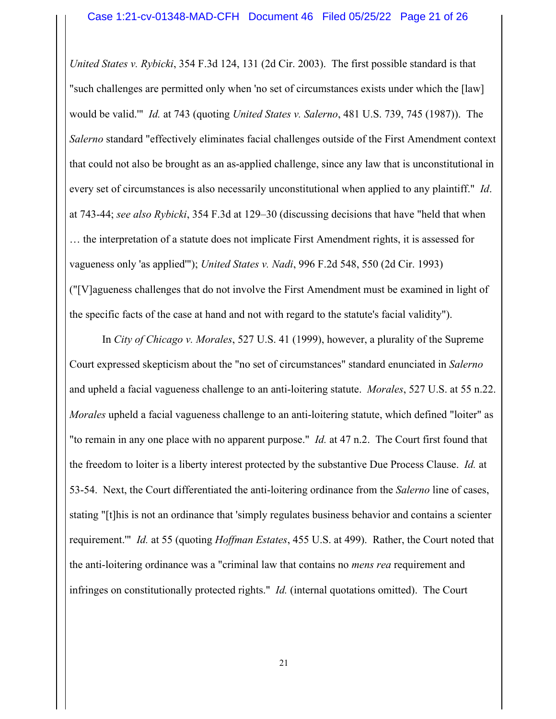*United States v. Rybicki*, 354 F.3d 124, 131 (2d Cir. 2003). The first possible standard is that "such challenges are permitted only when 'no set of circumstances exists under which the [law] would be valid.'" *Id.* at 743 (quoting *United States v. Salerno*, 481 U.S. 739, 745 (1987)). The *Salerno* standard "effectively eliminates facial challenges outside of the First Amendment context that could not also be brought as an as-applied challenge, since any law that is unconstitutional in every set of circumstances is also necessarily unconstitutional when applied to any plaintiff." *Id*. at 743-44; *see also Rybicki*, 354 F.3d at 129–30 (discussing decisions that have "held that when … the interpretation of a statute does not implicate First Amendment rights, it is assessed for vagueness only 'as applied'"); *United States v. Nadi*, 996 F.2d 548, 550 (2d Cir. 1993) ("[V]agueness challenges that do not involve the First Amendment must be examined in light of the specific facts of the case at hand and not with regard to the statute's facial validity").

 In *City of Chicago v. Morales*, 527 U.S. 41 (1999), however, a plurality of the Supreme Court expressed skepticism about the "no set of circumstances" standard enunciated in *Salerno* and upheld a facial vagueness challenge to an anti-loitering statute. *Morales*, 527 U.S. at 55 n.22. *Morales* upheld a facial vagueness challenge to an anti-loitering statute, which defined "loiter" as "to remain in any one place with no apparent purpose." *Id.* at 47 n.2. The Court first found that the freedom to loiter is a liberty interest protected by the substantive Due Process Clause. *Id.* at 53-54. Next, the Court differentiated the anti-loitering ordinance from the *Salerno* line of cases, stating "[t]his is not an ordinance that 'simply regulates business behavior and contains a scienter requirement.'" *Id.* at 55 (quoting *Hoffman Estates*, 455 U.S. at 499). Rather, the Court noted that the anti-loitering ordinance was a "criminal law that contains no *mens rea* requirement and infringes on constitutionally protected rights." *Id.* (internal quotations omitted). The Court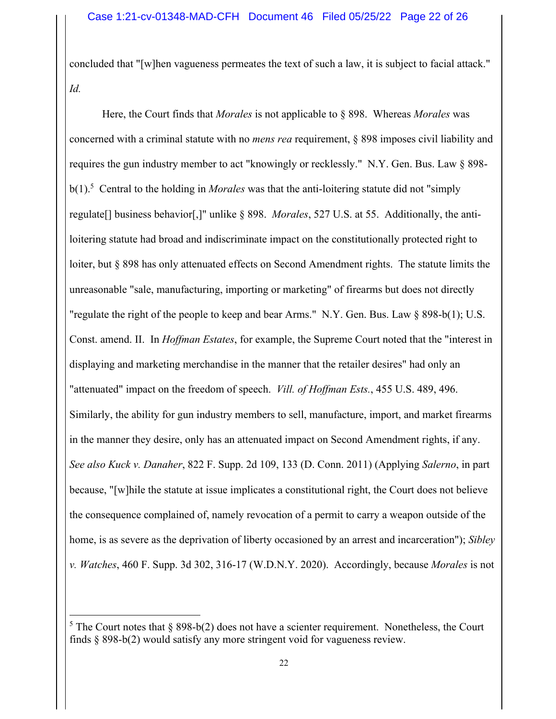concluded that "[w]hen vagueness permeates the text of such a law, it is subject to facial attack." *Id.* 

Here, the Court finds that *Morales* is not applicable to § 898. Whereas *Morales* was concerned with a criminal statute with no *mens rea* requirement, § 898 imposes civil liability and requires the gun industry member to act "knowingly or recklessly." N.Y. Gen. Bus. Law § 898 b(1).5 Central to the holding in *Morales* was that the anti-loitering statute did not "simply regulate[] business behavior[,]" unlike § 898. *Morales*, 527 U.S. at 55. Additionally, the antiloitering statute had broad and indiscriminate impact on the constitutionally protected right to loiter, but § 898 has only attenuated effects on Second Amendment rights. The statute limits the unreasonable "sale, manufacturing, importing or marketing" of firearms but does not directly "regulate the right of the people to keep and bear Arms." N.Y. Gen. Bus. Law § 898-b(1); U.S. Const. amend. II. In *Hoffman Estates*, for example, the Supreme Court noted that the "interest in displaying and marketing merchandise in the manner that the retailer desires" had only an "attenuated" impact on the freedom of speech. *Vill. of Hoffman Ests.*, 455 U.S. 489, 496. Similarly, the ability for gun industry members to sell, manufacture, import, and market firearms in the manner they desire, only has an attenuated impact on Second Amendment rights, if any. *See also Kuck v. Danaher*, 822 F. Supp. 2d 109, 133 (D. Conn. 2011) (Applying *Salerno*, in part because, "[w]hile the statute at issue implicates a constitutional right, the Court does not believe the consequence complained of, namely revocation of a permit to carry a weapon outside of the home, is as severe as the deprivation of liberty occasioned by an arrest and incarceration"); *Sibley v. Watches*, 460 F. Supp. 3d 302, 316-17 (W.D.N.Y. 2020). Accordingly, because *Morales* is not

<sup>&</sup>lt;sup>5</sup> The Court notes that § 898-b(2) does not have a scienter requirement. Nonetheless, the Court finds § 898-b(2) would satisfy any more stringent void for vagueness review.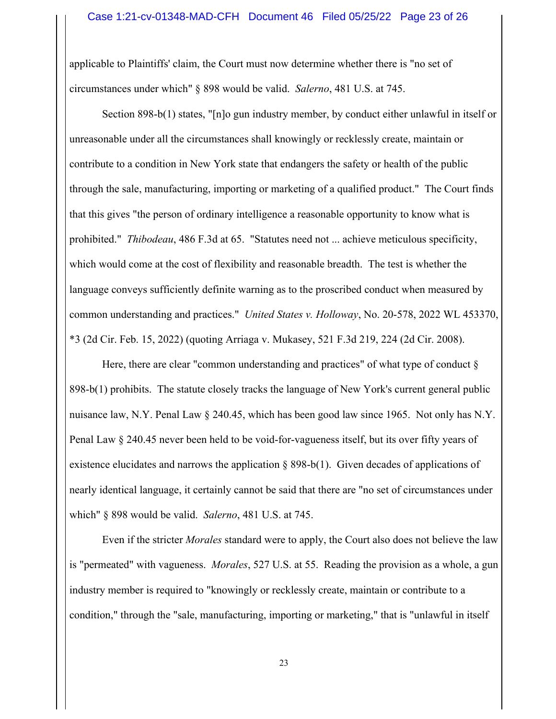applicable to Plaintiffs' claim, the Court must now determine whether there is "no set of circumstances under which" § 898 would be valid. *Salerno*, 481 U.S. at 745.

Section 898-b(1) states, "[n]o gun industry member, by conduct either unlawful in itself or unreasonable under all the circumstances shall knowingly or recklessly create, maintain or contribute to a condition in New York state that endangers the safety or health of the public through the sale, manufacturing, importing or marketing of a qualified product." The Court finds that this gives "the person of ordinary intelligence a reasonable opportunity to know what is prohibited." *Thibodeau*, 486 F.3d at 65. "Statutes need not ... achieve meticulous specificity, which would come at the cost of flexibility and reasonable breadth. The test is whether the language conveys sufficiently definite warning as to the proscribed conduct when measured by common understanding and practices." *United States v. Holloway*, No. 20-578, 2022 WL 453370, \*3 (2d Cir. Feb. 15, 2022) (quoting Arriaga v. Mukasey, 521 F.3d 219, 224 (2d Cir. 2008).

Here, there are clear "common understanding and practices" of what type of conduct  $\S$ 898-b(1) prohibits. The statute closely tracks the language of New York's current general public nuisance law, N.Y. Penal Law § 240.45, which has been good law since 1965. Not only has N.Y. Penal Law § 240.45 never been held to be void-for-vagueness itself, but its over fifty years of existence elucidates and narrows the application § 898-b(1). Given decades of applications of nearly identical language, it certainly cannot be said that there are "no set of circumstances under which" § 898 would be valid. *Salerno*, 481 U.S. at 745.

 Even if the stricter *Morales* standard were to apply, the Court also does not believe the law is "permeated" with vagueness. *Morales*, 527 U.S. at 55. Reading the provision as a whole, a gun industry member is required to "knowingly or recklessly create, maintain or contribute to a condition," through the "sale, manufacturing, importing or marketing," that is "unlawful in itself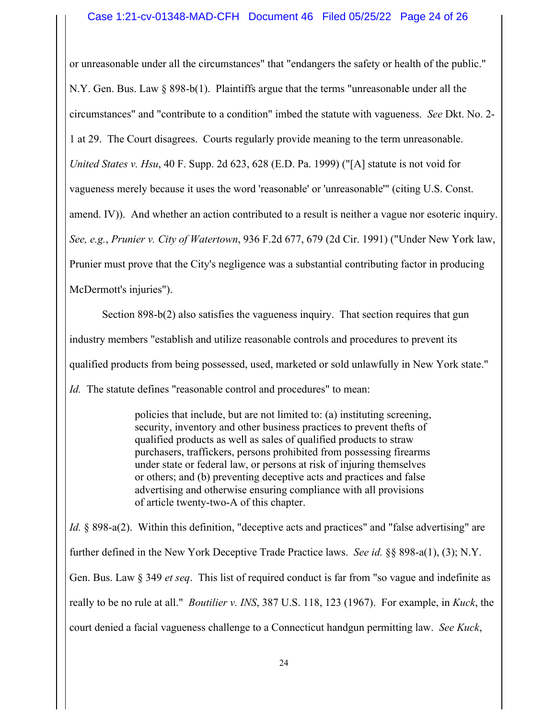or unreasonable under all the circumstances" that "endangers the safety or health of the public." N.Y. Gen. Bus. Law § 898-b(1). Plaintiffs argue that the terms "unreasonable under all the circumstances" and "contribute to a condition" imbed the statute with vagueness. *See* Dkt. No. 2- 1 at 29. The Court disagrees. Courts regularly provide meaning to the term unreasonable. *United States v. Hsu*, 40 F. Supp. 2d 623, 628 (E.D. Pa. 1999) ("[A] statute is not void for vagueness merely because it uses the word 'reasonable' or 'unreasonable'" (citing U.S. Const. amend. IV)). And whether an action contributed to a result is neither a vague nor esoteric inquiry. *See, e.g.*, *Prunier v. City of Watertown*, 936 F.2d 677, 679 (2d Cir. 1991) ("Under New York law, Prunier must prove that the City's negligence was a substantial contributing factor in producing McDermott's injuries").

 Section 898-b(2) also satisfies the vagueness inquiry. That section requires that gun industry members "establish and utilize reasonable controls and procedures to prevent its qualified products from being possessed, used, marketed or sold unlawfully in New York state." *Id.* The statute defines "reasonable control and procedures" to mean:

> policies that include, but are not limited to: (a) instituting screening, security, inventory and other business practices to prevent thefts of qualified products as well as sales of qualified products to straw purchasers, traffickers, persons prohibited from possessing firearms under state or federal law, or persons at risk of injuring themselves or others; and (b) preventing deceptive acts and practices and false advertising and otherwise ensuring compliance with all provisions of article twenty-two-A of this chapter.

*Id.* § 898-a(2). Within this definition, "deceptive acts and practices" and "false advertising" are further defined in the New York Deceptive Trade Practice laws. *See id.* §§ 898-a(1), (3); N.Y. Gen. Bus. Law § 349 *et seq*. This list of required conduct is far from "so vague and indefinite as really to be no rule at all." *Boutilier v. INS*, 387 U.S. 118, 123 (1967). For example, in *Kuck*, the court denied a facial vagueness challenge to a Connecticut handgun permitting law. *See Kuck*,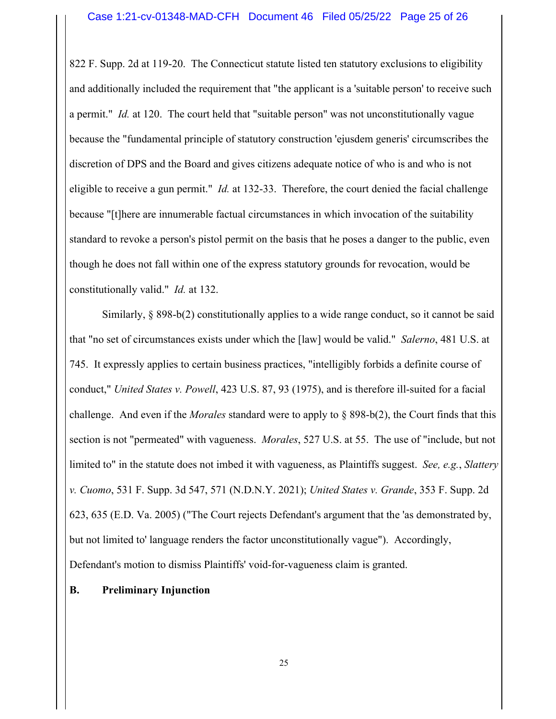822 F. Supp. 2d at 119-20. The Connecticut statute listed ten statutory exclusions to eligibility and additionally included the requirement that "the applicant is a 'suitable person' to receive such a permit." *Id.* at 120. The court held that "suitable person" was not unconstitutionally vague because the "fundamental principle of statutory construction 'ejusdem generis' circumscribes the discretion of DPS and the Board and gives citizens adequate notice of who is and who is not eligible to receive a gun permit." *Id.* at 132-33. Therefore, the court denied the facial challenge because "[t]here are innumerable factual circumstances in which invocation of the suitability standard to revoke a person's pistol permit on the basis that he poses a danger to the public, even though he does not fall within one of the express statutory grounds for revocation, would be constitutionally valid." *Id.* at 132.

 Similarly, § 898-b(2) constitutionally applies to a wide range conduct, so it cannot be said that "no set of circumstances exists under which the [law] would be valid." *Salerno*, 481 U.S. at 745. It expressly applies to certain business practices, "intelligibly forbids a definite course of conduct," *United States v. Powell*, 423 U.S. 87, 93 (1975), and is therefore ill-suited for a facial challenge. And even if the *Morales* standard were to apply to § 898-b(2), the Court finds that this section is not "permeated" with vagueness. *Morales*, 527 U.S. at 55. The use of "include, but not limited to" in the statute does not imbed it with vagueness, as Plaintiffs suggest. *See, e.g.*, *Slattery v. Cuomo*, 531 F. Supp. 3d 547, 571 (N.D.N.Y. 2021); *United States v. Grande*, 353 F. Supp. 2d 623, 635 (E.D. Va. 2005) ("The Court rejects Defendant's argument that the 'as demonstrated by, but not limited to' language renders the factor unconstitutionally vague"). Accordingly, Defendant's motion to dismiss Plaintiffs' void-for-vagueness claim is granted.

# **B. Preliminary Injunction**